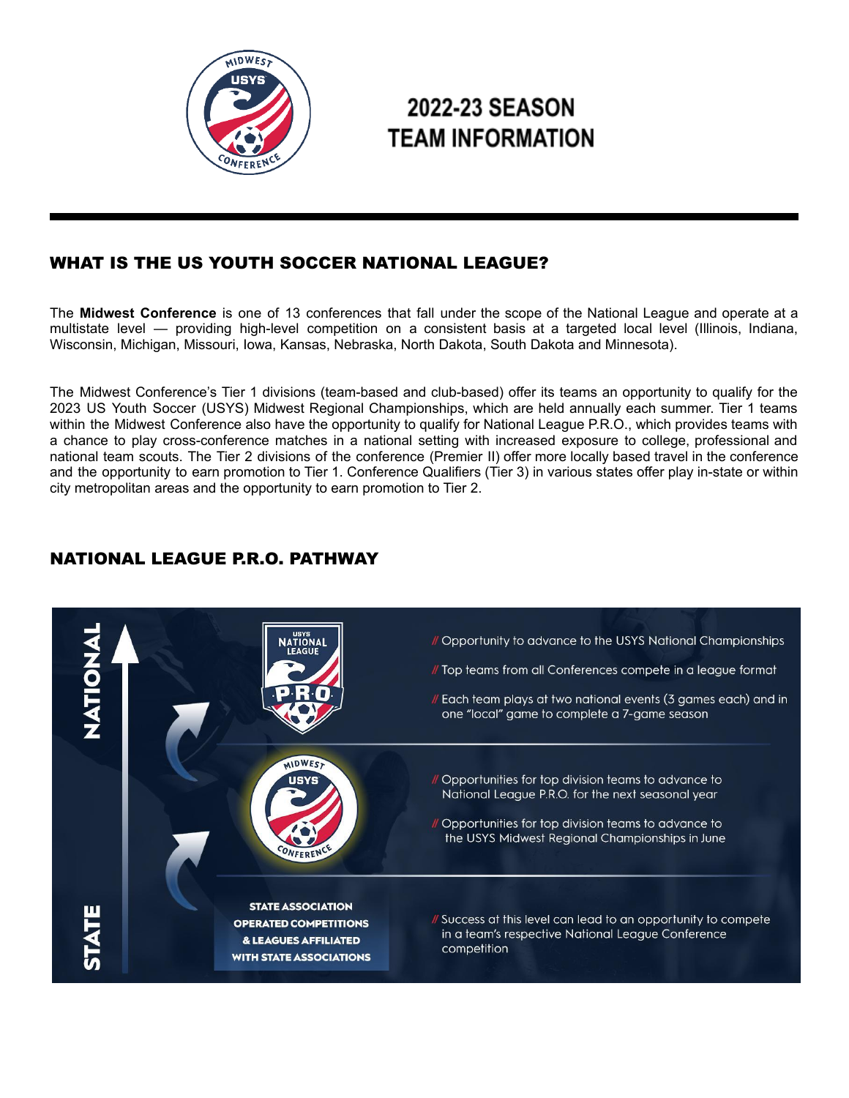

# 2022-23 SEASON **TEAM INFORMATION**

# WHAT IS THE US YOUTH SOCCER NATIONAL LEAGUE?

The **Midwest Conference** is one of 13 conferences that fall under the scope of the National League and operate at a multistate level — providing high-level competition on a consistent basis at a targeted local level (Illinois, Indiana, Wisconsin, Michigan, Missouri, Iowa, Kansas, Nebraska, North Dakota, South Dakota and Minnesota).

The Midwest Conference's Tier 1 divisions (team-based and club-based) offer its teams an opportunity to qualify for the 2023 US Youth Soccer (USYS) Midwest Regional Championships, which are held annually each summer. Tier 1 teams within the Midwest Conference also have the opportunity to qualify for National League P.R.O., which provides teams with a chance to play cross-conference matches in a national setting with increased exposure to college, professional and national team scouts. The Tier 2 divisions of the conference (Premier II) offer more locally based travel in the conference and the opportunity to earn promotion to Tier 1. Conference Qualifiers (Tier 3) in various states offer play in-state or within city metropolitan areas and the opportunity to earn promotion to Tier 2.

# NATIONAL LEAGUE P.R.O. PATHWAY

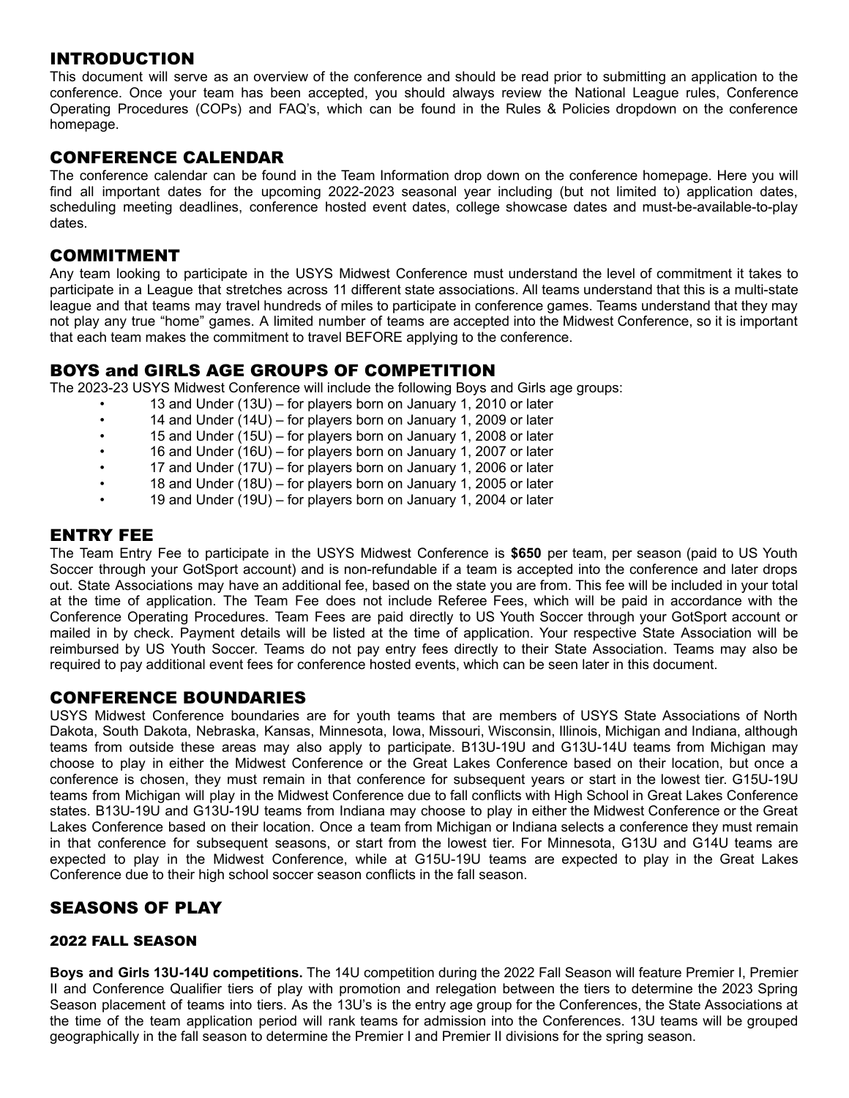## INTRODUCTION

This document will serve as an overview of the conference and should be read prior to submitting an application to the conference. Once your team has been accepted, you should always review the National League rules, Conference Operating Procedures (COPs) and FAQ's, which can be found in the Rules & Policies dropdown on the conference homepage.

#### CONFERENCE CALENDAR

The conference calendar can be found in the Team Information drop down on the conference homepage. Here you will find all important dates for the upcoming 2022-2023 seasonal year including (but not limited to) application dates, scheduling meeting deadlines, conference hosted event dates, college showcase dates and must-be-available-to-play dates.

#### COMMITMENT

Any team looking to participate in the USYS Midwest Conference must understand the level of commitment it takes to participate in a League that stretches across 11 different state associations. All teams understand that this is a multi-state league and that teams may travel hundreds of miles to participate in conference games. Teams understand that they may not play any true "home" games. A limited number of teams are accepted into the Midwest Conference, so it is important that each team makes the commitment to travel BEFORE applying to the conference.

#### BOYS and GIRLS AGE GROUPS OF COMPETITION

The 2023-23 USYS Midwest Conference will include the following Boys and Girls age groups:

- 13 and Under (13U) for players born on January 1, 2010 or later
- 14 and Under (14U) for players born on January 1, 2009 or later
- 15 and Under (15U) for players born on January 1, 2008 or later
- 16 and Under (16U) for players born on January 1, 2007 or later
- 17 and Under (17U) for players born on January 1, 2006 or later
- 18 and Under (18U) for players born on January 1, 2005 or later
- 19 and Under (19U) for players born on January 1, 2004 or later

## ENTRY FEE

The Team Entry Fee to participate in the USYS Midwest Conference is **\$650** per team, per season (paid to US Youth Soccer through your GotSport account) and is non-refundable if a team is accepted into the conference and later drops out. State Associations may have an additional fee, based on the state you are from. This fee will be included in your total at the time of application. The Team Fee does not include Referee Fees, which will be paid in accordance with the Conference Operating Procedures. Team Fees are paid directly to US Youth Soccer through your GotSport account or mailed in by check. Payment details will be listed at the time of application. Your respective State Association will be reimbursed by US Youth Soccer. Teams do not pay entry fees directly to their State Association. Teams may also be required to pay additional event fees for conference hosted events, which can be seen later in this document.

#### CONFERENCE BOUNDARIES

USYS Midwest Conference boundaries are for youth teams that are members of USYS State Associations of North Dakota, South Dakota, Nebraska, Kansas, Minnesota, Iowa, Missouri, Wisconsin, Illinois, Michigan and Indiana, although teams from outside these areas may also apply to participate. B13U-19U and G13U-14U teams from Michigan may choose to play in either the Midwest Conference or the Great Lakes Conference based on their location, but once a conference is chosen, they must remain in that conference for subsequent years or start in the lowest tier. G15U-19U teams from Michigan will play in the Midwest Conference due to fall conflicts with High School in Great Lakes Conference states. B13U-19U and G13U-19U teams from Indiana may choose to play in either the Midwest Conference or the Great Lakes Conference based on their location. Once a team from Michigan or Indiana selects a conference they must remain in that conference for subsequent seasons, or start from the lowest tier. For Minnesota, G13U and G14U teams are expected to play in the Midwest Conference, while at G15U-19U teams are expected to play in the Great Lakes Conference due to their high school soccer season conflicts in the fall season.

# SEASONS OF PLAY

#### 2022 FALL SEASON

**Boys and Girls 13U-14U competitions.** The 14U competition during the 2022 Fall Season will feature Premier I, Premier II and Conference Qualifier tiers of play with promotion and relegation between the tiers to determine the 2023 Spring Season placement of teams into tiers. As the 13U's is the entry age group for the Conferences, the State Associations at the time of the team application period will rank teams for admission into the Conferences. 13U teams will be grouped geographically in the fall season to determine the Premier I and Premier II divisions for the spring season.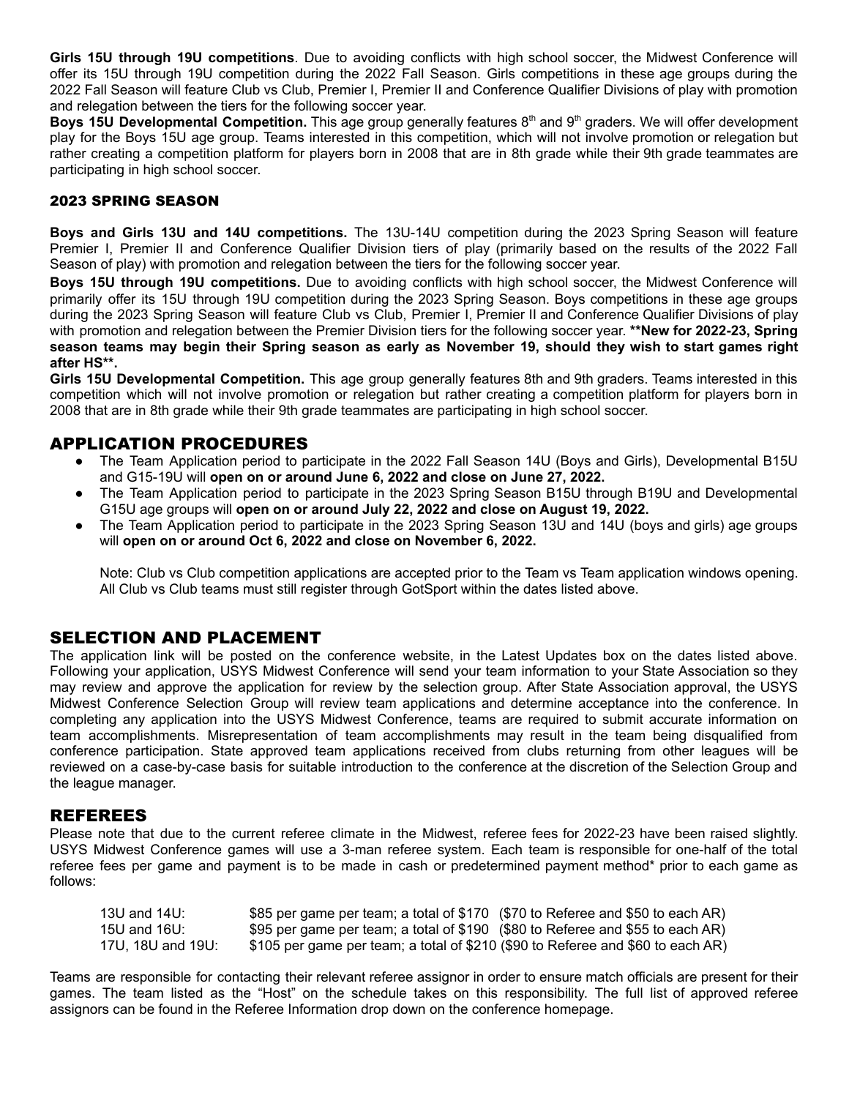**Girls 15U through 19U competitions**. Due to avoiding conflicts with high school soccer, the Midwest Conference will offer its 15U through 19U competition during the 2022 Fall Season. Girls competitions in these age groups during the 2022 Fall Season will feature Club vs Club, Premier I, Premier II and Conference Qualifier Divisions of play with promotion and relegation between the tiers for the following soccer year.

Boys 15U Developmental Competition. This age group generally features 8<sup>th</sup> and 9<sup>th</sup> graders. We will offer development play for the Boys 15U age group. Teams interested in this competition, which will not involve promotion or relegation but rather creating a competition platform for players born in 2008 that are in 8th grade while their 9th grade teammates are participating in high school soccer.

#### 2023 SPRING SEASON

**Boys and Girls 13U and 14U competitions.** The 13U-14U competition during the 2023 Spring Season will feature Premier I, Premier II and Conference Qualifier Division tiers of play (primarily based on the results of the 2022 Fall Season of play) with promotion and relegation between the tiers for the following soccer year.

**Boys 15U through 19U competitions.** Due to avoiding conflicts with high school soccer, the Midwest Conference will primarily offer its 15U through 19U competition during the 2023 Spring Season. Boys competitions in these age groups during the 2023 Spring Season will feature Club vs Club, Premier I, Premier II and Conference Qualifier Divisions of play with promotion and relegation between the Premier Division tiers for the following soccer year. **\*\*New for 2022-23, Spring** season teams may begin their Spring season as early as November 19, should they wish to start games right **after HS\*\*.**

**Girls 15U Developmental Competition.** This age group generally features 8th and 9th graders. Teams interested in this competition which will not involve promotion or relegation but rather creating a competition platform for players born in 2008 that are in 8th grade while their 9th grade teammates are participating in high school soccer.

## APPLICATION PROCEDURES

- **●** The Team Application period to participate in the 2022 Fall Season 14U (Boys and Girls), Developmental B15U and G15-19U will **open on or around June 6, 2022 and close on June 27, 2022.**
- The Team Application period to participate in the 2023 Spring Season B15U through B19U and Developmental G15U age groups will **open on or around July 22, 2022 and close on August 19, 2022.**
- The Team Application period to participate in the 2023 Spring Season 13U and 14U (boys and girls) age groups will **open on or around Oct 6, 2022 and close on November 6, 2022.**

Note: Club vs Club competition applications are accepted prior to the Team vs Team application windows opening. All Club vs Club teams must still register through GotSport within the dates listed above.

#### SELECTION AND PLACEMENT

The application link will be posted on the conference website, in the Latest Updates box on the dates listed above. Following your application, USYS Midwest Conference will send your team information to your State Association so they may review and approve the application for review by the selection group. After State Association approval, the USYS Midwest Conference Selection Group will review team applications and determine acceptance into the conference. In completing any application into the USYS Midwest Conference, teams are required to submit accurate information on team accomplishments. Misrepresentation of team accomplishments may result in the team being disqualified from conference participation. State approved team applications received from clubs returning from other leagues will be reviewed on a case-by-case basis for suitable introduction to the conference at the discretion of the Selection Group and the league manager.

#### REFEREES

Please note that due to the current referee climate in the Midwest, referee fees for 2022-23 have been raised slightly. USYS Midwest Conference games will use a 3-man referee system. Each team is responsible for one-half of the total referee fees per game and payment is to be made in cash or predetermined payment method\* prior to each game as follows:

| 13U and 14U:      | \$85 per game per team; a total of \$170 (\$70 to Referee and \$50 to each AR)  |  |
|-------------------|---------------------------------------------------------------------------------|--|
| 15U and 16U:      | \$95 per game per team; a total of \$190 (\$80 to Referee and \$55 to each AR)  |  |
| 17U. 18U and 19U: | \$105 per game per team; a total of \$210 (\$90 to Referee and \$60 to each AR) |  |

Teams are responsible for contacting their relevant referee assignor in order to ensure match officials are present for their games. The team listed as the "Host" on the schedule takes on this responsibility. The full list of approved referee assignors can be found in the Referee Information drop down on the conference homepage.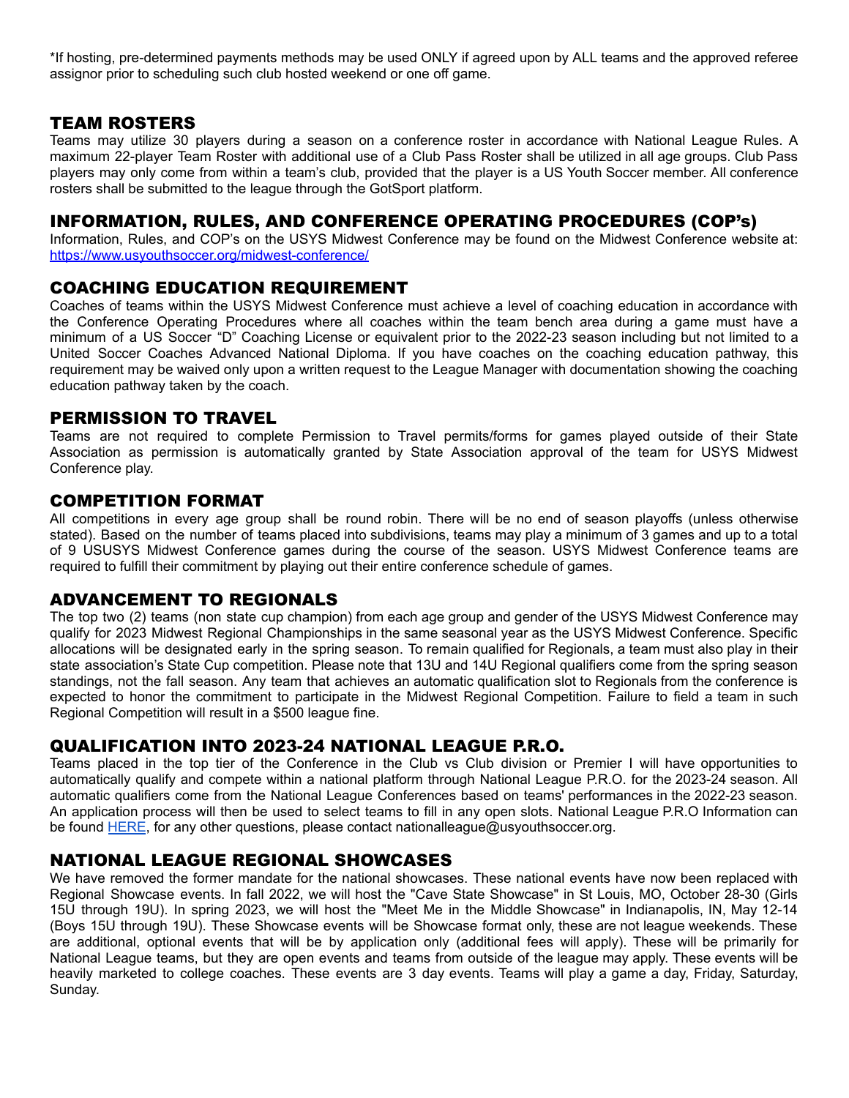\*If hosting, pre-determined payments methods may be used ONLY if agreed upon by ALL teams and the approved referee assignor prior to scheduling such club hosted weekend or one off game.

#### TEAM ROSTERS

Teams may utilize 30 players during a season on a conference roster in accordance with National League Rules. A maximum 22-player Team Roster with additional use of a Club Pass Roster shall be utilized in all age groups. Club Pass players may only come from within a team's club, provided that the player is a US Youth Soccer member. All conference rosters shall be submitted to the league through the GotSport platform.

## INFORMATION, RULES, AND CONFERENCE OPERATING PROCEDURES (COP's)

Information, Rules, and COP's on the USYS Midwest Conference may be found on the Midwest Conference website at: <https://www.usyouthsoccer.org/midwest-conference/>

#### COACHING EDUCATION REQUIREMENT

Coaches of teams within the USYS Midwest Conference must achieve a level of coaching education in accordance with the Conference Operating Procedures where all coaches within the team bench area during a game must have a minimum of a US Soccer "D" Coaching License or equivalent prior to the 2022-23 season including but not limited to a United Soccer Coaches Advanced National Diploma. If you have coaches on the coaching education pathway, this requirement may be waived only upon a written request to the League Manager with documentation showing the coaching education pathway taken by the coach.

#### PERMISSION TO TRAVEL

Teams are not required to complete Permission to Travel permits/forms for games played outside of their State Association as permission is automatically granted by State Association approval of the team for USYS Midwest Conference play.

#### COMPETITION FORMAT

All competitions in every age group shall be round robin. There will be no end of season playoffs (unless otherwise stated). Based on the number of teams placed into subdivisions, teams may play a minimum of 3 games and up to a total of 9 USUSYS Midwest Conference games during the course of the season. USYS Midwest Conference teams are required to fulfill their commitment by playing out their entire conference schedule of games.

#### ADVANCEMENT TO REGIONALS

The top two (2) teams (non state cup champion) from each age group and gender of the USYS Midwest Conference may qualify for 2023 Midwest Regional Championships in the same seasonal year as the USYS Midwest Conference. Specific allocations will be designated early in the spring season. To remain qualified for Regionals, a team must also play in their state association's State Cup competition. Please note that 13U and 14U Regional qualifiers come from the spring season standings, not the fall season. Any team that achieves an automatic qualification slot to Regionals from the conference is expected to honor the commitment to participate in the Midwest Regional Competition. Failure to field a team in such Regional Competition will result in a \$500 league fine.

#### QUALIFICATION INTO 2023-24 NATIONAL LEAGUE P.R.O.

Teams placed in the top tier of the Conference in the Club vs Club division or Premier I will have opportunities to automatically qualify and compete within a national platform through National League P.R.O. for the 2023-24 season. All automatic qualifiers come from the National League Conferences based on teams' performances in the 2022-23 season. An application process will then be used to select teams to fill in any open slots. National League P.R.O Information can be found [HERE](https://www.usysnationalleague.com/national-league-pro/), for any other questions, please contact nationalleague@usyouthsoccer.org.

## NATIONAL LEAGUE REGIONAL SHOWCASES

We have removed the former mandate for the national showcases. These national events have now been replaced with Regional Showcase events. In fall 2022, we will host the "Cave State Showcase" in St Louis, MO, October 28-30 (Girls 15U through 19U). In spring 2023, we will host the "Meet Me in the Middle Showcase" in Indianapolis, IN, May 12-14 (Boys 15U through 19U). These Showcase events will be Showcase format only, these are not league weekends. These are additional, optional events that will be by application only (additional fees will apply). These will be primarily for National League teams, but they are open events and teams from outside of the league may apply. These events will be heavily marketed to college coaches. These events are 3 day events. Teams will play a game a day, Friday, Saturday, Sunday.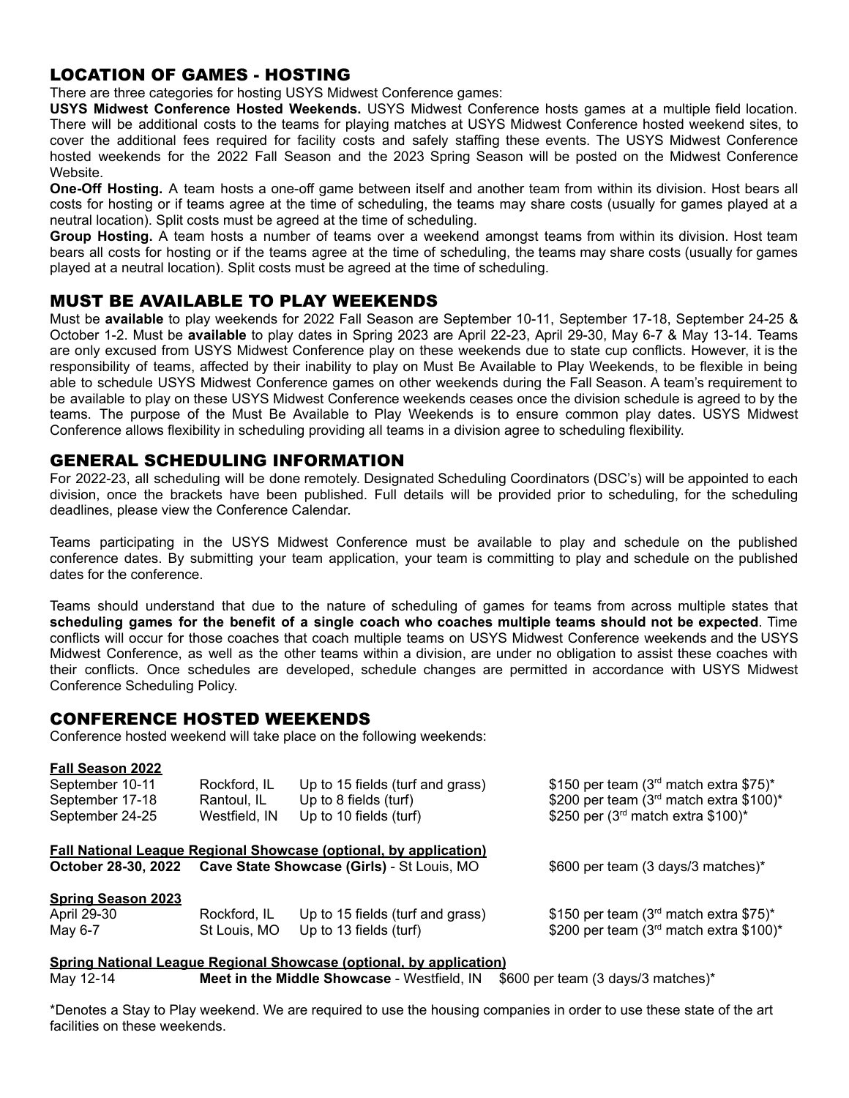# LOCATION OF GAMES - HOSTING

There are three categories for hosting USYS Midwest Conference games:

**USYS Midwest Conference Hosted Weekends.** USYS Midwest Conference hosts games at a multiple field location. There will be additional costs to the teams for playing matches at USYS Midwest Conference hosted weekend sites, to cover the additional fees required for facility costs and safely staffing these events. The USYS Midwest Conference hosted weekends for the 2022 Fall Season and the 2023 Spring Season will be posted on the Midwest Conference Website.

**One-Off Hosting.** A team hosts a one-off game between itself and another team from within its division. Host bears all costs for hosting or if teams agree at the time of scheduling, the teams may share costs (usually for games played at a neutral location). Split costs must be agreed at the time of scheduling.

**Group Hosting.** A team hosts a number of teams over a weekend amongst teams from within its division. Host team bears all costs for hosting or if the teams agree at the time of scheduling, the teams may share costs (usually for games played at a neutral location). Split costs must be agreed at the time of scheduling.

#### MUST BE AVAILABLE TO PLAY WEEKENDS

Must be **available** to play weekends for 2022 Fall Season are September 10-11, September 17-18, September 24-25 & October 1-2. Must be **available** to play dates in Spring 2023 are April 22-23, April 29-30, May 6-7 & May 13-14. Teams are only excused from USYS Midwest Conference play on these weekends due to state cup conflicts. However, it is the responsibility of teams, affected by their inability to play on Must Be Available to Play Weekends, to be flexible in being able to schedule USYS Midwest Conference games on other weekends during the Fall Season. A team's requirement to be available to play on these USYS Midwest Conference weekends ceases once the division schedule is agreed to by the teams. The purpose of the Must Be Available to Play Weekends is to ensure common play dates. USYS Midwest Conference allows flexibility in scheduling providing all teams in a division agree to scheduling flexibility.

#### GENERAL SCHEDULING INFORMATION

For 2022-23, all scheduling will be done remotely. Designated Scheduling Coordinators (DSC's) will be appointed to each division, once the brackets have been published. Full details will be provided prior to scheduling, for the scheduling deadlines, please view the Conference Calendar.

Teams participating in the USYS Midwest Conference must be available to play and schedule on the published conference dates. By submitting your team application, your team is committing to play and schedule on the published dates for the conference.

Teams should understand that due to the nature of scheduling of games for teams from across multiple states that scheduling games for the benefit of a single coach who coaches multiple teams should not be expected. Time conflicts will occur for those coaches that coach multiple teams on USYS Midwest Conference weekends and the USYS Midwest Conference, as well as the other teams within a division, are under no obligation to assist these coaches with their conflicts. Once schedules are developed, schedule changes are permitted in accordance with USYS Midwest Conference Scheduling Policy.

#### CONFERENCE HOSTED WEEKENDS

Conference hosted weekend will take place on the following weekends:

#### **Fall Season 2022**

| September 10-11           | Rockford, IL  | Up to 15 fields (turf and grass)                                         | \$150 per team (3rd match extra \$75)*    |
|---------------------------|---------------|--------------------------------------------------------------------------|-------------------------------------------|
| September 17-18           | Rantoul, IL   | Up to 8 fields (turf)                                                    | \$200 per team (3rd match extra \$100)*   |
| September 24-25           | Westfield, IN | Up to 10 fields (turf)                                                   | \$250 per (3rd match extra \$100)*        |
|                           |               | <b>Fall National League Regional Showcase (optional, by application)</b> |                                           |
|                           |               | October 28-30, 2022 Cave State Showcase (Girls) - St Louis, MO           | \$600 per team (3 days/3 matches)*        |
| <b>Spring Season 2023</b> |               |                                                                          |                                           |
| April 29-30               | Rockford, IL  | Up to 15 fields (turf and grass)                                         | \$150 per team ( $3rd$ match extra \$75)* |
| May 6-7                   | St Louis, MO  | Up to 13 fields (turf)                                                   | \$200 per team (3rd match extra \$100)*   |

#### **Spring National League Regional Showcase (optional, by application)**

May 12-14 **Meet in the Middle Showcase** - Westfield, IN \$600 per team (3 days/3 matches)\*

\*Denotes a Stay to Play weekend. We are required to use the housing companies in order to use these state of the art facilities on these weekends.